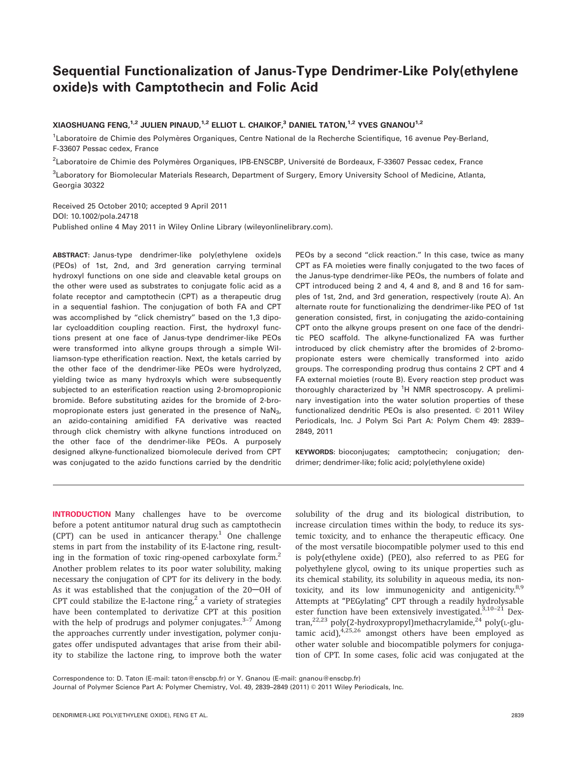# Sequential Functionalization of Janus-Type Dendrimer-Like Poly(ethylene oxide)s with Camptothecin and Folic Acid

#### XIAOSHUANG FENG,<sup>1,2</sup> JULIEN PINAUD,<sup>1,2</sup> ELLIOT L. CHAIKOF,<sup>3</sup> DANIEL TATON,<sup>1,2</sup> YVES GNANOU<sup>1,2</sup>

<sup>1</sup>Laboratoire de Chimie des Polymères Organiques, Centre National de la Recherche Scientifique, 16 avenue Pey-Berland, F-33607 Pessac cedex, France

<sup>2</sup>Laboratoire de Chimie des Polymères Organiques, IPB-ENSCBP, Université de Bordeaux, F-33607 Pessac cedex, France

3 Laboratory for Biomolecular Materials Research, Department of Surgery, Emory University School of Medicine, Atlanta, Georgia 30322

Received 25 October 2010; accepted 9 April 2011 DOI: 10.1002/pola.24718 Published online 4 May 2011 in Wiley Online Library (wileyonlinelibrary.com).

ABSTRACT: Janus-type dendrimer-like poly(ethylene oxide)s (PEOs) of 1st, 2nd, and 3rd generation carrying terminal hydroxyl functions on one side and cleavable ketal groups on the other were used as substrates to conjugate folic acid as a folate receptor and camptothecin (CPT) as a therapeutic drug in a sequential fashion. The conjugation of both FA and CPT was accomplished by "click chemistry" based on the 1,3 dipolar cycloaddition coupling reaction. First, the hydroxyl functions present at one face of Janus-type dendrimer-like PEOs were transformed into alkyne groups through a simple Williamson-type etherification reaction. Next, the ketals carried by the other face of the dendrimer-like PEOs were hydrolyzed, yielding twice as many hydroxyls which were subsequently subjected to an esterification reaction using 2-bromopropionic bromide. Before substituting azides for the bromide of 2-bromopropionate esters just generated in the presence of NaN<sub>3</sub>, an azido-containing amidified FA derivative was reacted through click chemistry with alkyne functions introduced on the other face of the dendrimer-like PEOs. A purposely designed alkyne-functionalized biomolecule derived from CPT was conjugated to the azido functions carried by the dendritic PEOs by a second "click reaction." In this case, twice as many CPT as FA moieties were finally conjugated to the two faces of the Janus-type dendrimer-like PEOs, the numbers of folate and CPT introduced being 2 and 4, 4 and 8, and 8 and 16 for samples of 1st, 2nd, and 3rd generation, respectively (route A). An alternate route for functionalizing the dendrimer-like PEO of 1st generation consisted, first, in conjugating the azido-containing CPT onto the alkyne groups present on one face of the dendritic PEO scaffold. The alkyne-functionalized FA was further introduced by click chemistry after the bromides of 2-bromopropionate esters were chemically transformed into azido groups. The corresponding prodrug thus contains 2 CPT and 4 FA external moieties (route B). Every reaction step product was thoroughly characterized by <sup>1</sup>H NMR spectroscopy. A preliminary investigation into the water solution properties of these functionalized dendritic PEOs is also presented. © 2011 Wiley Periodicals, Inc. J Polym Sci Part A: Polym Chem 49: 2839– 2849, 2011

KEYWORDS: bioconjugates; camptothecin; conjugation; dendrimer; dendrimer-like; folic acid; poly(ethylene oxide)

INTRODUCTION Many challenges have to be overcome before a potent antitumor natural drug such as camptothecin (CPT) can be used in anticancer therapy.<sup>1</sup> One challenge stems in part from the instability of its E-lactone ring, resulting in the formation of toxic ring-opened carboxylate form.<sup>2</sup> Another problem relates to its poor water solubility, making necessary the conjugation of CPT for its delivery in the body. As it was established that the conjugation of the  $20-OH$  of CPT could stabilize the E-lactone ring,<sup>2</sup> a variety of strategies have been contemplated to derivatize CPT at this position with the help of prodrugs and polymer conjugates. $3-7$  Among the approaches currently under investigation, polymer conjugates offer undisputed advantages that arise from their ability to stabilize the lactone ring, to improve both the water

solubility of the drug and its biological distribution, to increase circulation times within the body, to reduce its systemic toxicity, and to enhance the therapeutic efficacy. One of the most versatile biocompatible polymer used to this end is poly(ethylene oxide) (PEO), also referred to as PEG for polyethylene glycol, owing to its unique properties such as its chemical stability, its solubility in aqueous media, its nontoxicity, and its low immunogenicity and antigenicity.<sup>8,9</sup> Attempts at ''PEGylating'' CPT through a readily hydrolysable ester function have been extensively investigated.<sup>3,10-21</sup> Dextran,<sup>22,23</sup> poly(2-hydroxypropyl)methacrylamide,<sup>24</sup> poly(L-glutamic acid), $4,25,26$  amongst others have been employed as other water soluble and biocompatible polymers for conjugation of CPT. In some cases, folic acid was conjugated at the

Correspondence to: D. Taton (E-mail: taton@enscbp.fr) or Y. Gnanou (E-mail: gnanou@enscbp.fr)

Journal of Polymer Science Part A: Polymer Chemistry, Vol. 49, 2839-2849 (2011) © 2011 Wiley Periodicals, Inc.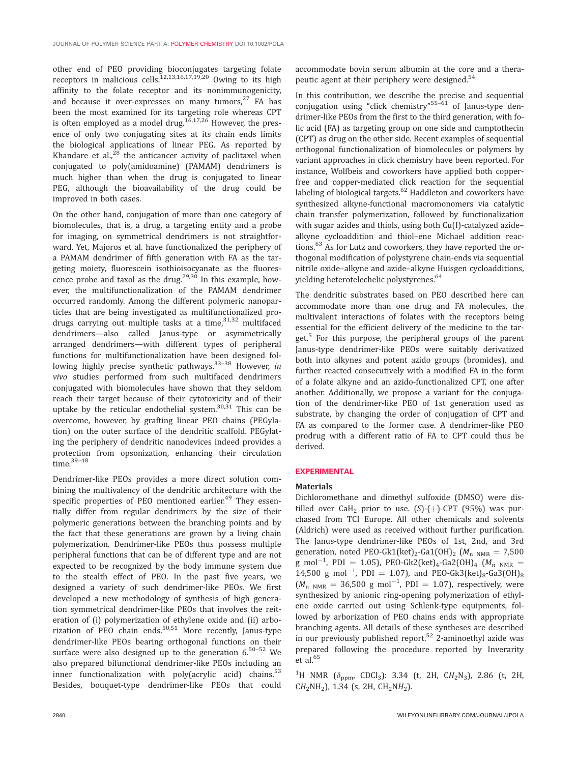other end of PEO providing bioconjugates targeting folate receptors in malicious cells.<sup>12,13,16,17,19,20</sup> Owing to its high affinity to the folate receptor and its nonimmunogenicity, and because it over-expresses on many tumors, $27$  FA has been the most examined for its targeting role whereas CPT is often employed as a model drug.<sup>16,17,26</sup> However, the presence of only two conjugating sites at its chain ends limits the biological applications of linear PEG. As reported by Khandare et al. $^{28}$  the anticancer activity of paclitaxel when conjugated to poly(amidoamine) (PAMAM) dendrimers is much higher than when the drug is conjugated to linear PEG, although the bioavailability of the drug could be improved in both cases.

On the other hand, conjugation of more than one category of biomolecules, that is, a drug, a targeting entity and a probe for imaging, on symmetrical dendrimers is not straightforward. Yet, Majoros et al. have functionalized the periphery of a PAMAM dendrimer of fifth generation with FA as the targeting moiety, fluorescein isothioisocyanate as the fluorescence probe and taxol as the drug. $^{29,30}$  In this example, however, the multifunctionalization of the PAMAM dendrimer occurred randomly. Among the different polymeric nanoparticles that are being investigated as multifunctionalized prodrugs carrying out multiple tasks at a time,  $31,32$  multifaced dendrimers—also called Janus-type or asymmetrically arranged dendrimers—with different types of peripheral functions for multifunctionalization have been designed following highly precise synthetic pathways.<sup>33-38</sup> However, in vivo studies performed from such multifaced dendrimers conjugated with biomolecules have shown that they seldom reach their target because of their cytotoxicity and of their uptake by the reticular endothelial system. $30,31$  This can be overcome, however, by grafting linear PEO chains (PEGylation) on the outer surface of the dendritic scaffold. PEGylating the periphery of dendritic nanodevices indeed provides a protection from opsonization, enhancing their circulation time.39–48

Dendrimer-like PEOs provides a more direct solution combining the multivalency of the dendritic architecture with the specific properties of PEO mentioned earlier.<sup>49</sup> They essentially differ from regular dendrimers by the size of their polymeric generations between the branching points and by the fact that these generations are grown by a living chain polymerization. Dendrimer-like PEOs thus possess multiple peripheral functions that can be of different type and are not expected to be recognized by the body immune system due to the stealth effect of PEO. In the past five years, we designed a variety of such dendrimer-like PEOs. We first developed a new methodology of synthesis of high generation symmetrical dendrimer-like PEOs that involves the reiteration of (i) polymerization of ethylene oxide and (ii) arborization of PEO chain ends.50,51 More recently, Janus-type dendrimer-like PEOs bearing orthogonal functions on their surface were also designed up to the generation  $6.50-52$  We also prepared bifunctional dendrimer-like PEOs including an inner functionalization with poly(acrylic acid) chains.<sup>53</sup> Besides, bouquet-type dendrimer-like PEOs that could accommodate bovin serum albumin at the core and a therapeutic agent at their periphery were designed.<sup>54</sup>

In this contribution, we describe the precise and sequential conjugation using "click chemistry"<sup>55-61</sup> of Janus-type dendrimer-like PEOs from the first to the third generation, with folic acid (FA) as targeting group on one side and camptothecin (CPT) as drug on the other side. Recent examples of sequential orthogonal functionalization of biomolecules or polymers by variant approaches in click chemistry have been reported. For instance, Wolfbeis and coworkers have applied both copperfree and copper-mediated click reaction for the sequential labeling of biological targets.<sup>62</sup> Haddleton and coworkers have synthesized alkyne-functional macromonomers via catalytic chain transfer polymerization, followed by functionalization with sugar azides and thiols, using both Cu(I)-catalyzed azide– alkyne cycloaddition and thiol–ene Michael addition reactions.<sup>63</sup> As for Lutz and coworkers, they have reported the orthogonal modification of polystyrene chain-ends via sequential nitrile oxide–alkyne and azide–alkyne Huisgen cycloadditions, yielding heterotelechelic polystyrenes.<sup>64</sup>

The dendritic substrates based on PEO described here can accommodate more than one drug and FA molecules, the multivalent interactions of folates with the receptors being essential for the efficient delivery of the medicine to the target.<sup>5</sup> For this purpose, the peripheral groups of the parent Janus-type dendrimer-like PEOs were suitably derivatized both into alkynes and potent azido groups (bromides), and further reacted consecutively with a modified FA in the form of a folate alkyne and an azido-functionalized CPT, one after another. Additionally, we propose a variant for the conjugation of the dendrimer-like PEO of 1st generation used as substrate, by changing the order of conjugation of CPT and FA as compared to the former case. A dendrimer-like PEO prodrug with a different ratio of FA to CPT could thus be derived.

#### EXPERIMENTAL

### Materials

Dichloromethane and dimethyl sulfoxide (DMSO) were distilled over  $CaH<sub>2</sub>$  prior to use.  $(S)-(+)$ -CPT (95%) was purchased from TCI Europe. All other chemicals and solvents (Aldrich) were used as received without further purification. The Janus-type dendrimer-like PEOs of 1st, 2nd, and 3rd generation, noted PEO-Gk1(ket)<sub>2</sub>-Ga1(OH)<sub>2</sub> ( $M_{\text{n NMR}} = 7,500$ g mol<sup>-1</sup>, PDI = 1.05), PEO-Gk2(ket)<sub>4</sub>-Ga2(OH)<sub>4</sub> ( $M_{\text{n NMR}} =$ 14,500 g mol<sup>-1</sup>, PDI = 1.07), and PEO-Gk3(ket)<sub>8</sub>-Ga3(OH)<sub>8</sub>  $(M_{n \text{ NMR}} = 36,500 \text{ g mol}^{-1}$ , PDI = 1.07), respectively, were synthesized by anionic ring-opening polymerization of ethylene oxide carried out using Schlenk-type equipments, followed by arborization of PEO chains ends with appropriate branching agents. All details of these syntheses are described in our previously published report.<sup>52</sup> 2-aminoethyl azide was prepared following the procedure reported by Inverarity et al.<sup>65</sup>

<sup>1</sup>H NMR ( $\delta_{\text{ppm}}$ , CDCl<sub>3</sub>): 3.34 (t, 2H, CH<sub>2</sub>N<sub>3</sub>), 2.86 (t, 2H,  $CH<sub>2</sub>NH<sub>2</sub>$ ), 1.34 (s, 2H,  $CH<sub>2</sub>NH<sub>2</sub>$ ).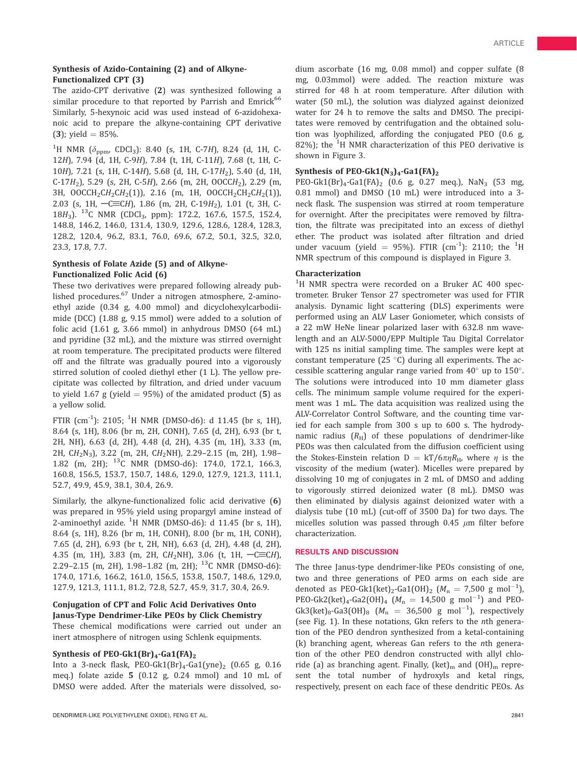## Synthesis of Azido-Containing (2) and of Alkyne-Functionalized CPT (3)

The azido-CPT derivative (2) was synthesized following a similar procedure to that reported by Parrish and Emrick<sup>66</sup> Similarly, 5-hexynoic acid was used instead of 6-azidohexanoic acid to prepare the alkyne-containing CPT derivative  $(3)$ ; yield = 85%.

<sup>1</sup>H NMR ( $\delta_{\text{ppm}}$ , CDCl<sub>3</sub>): 8.40 (s, 1H, C-7H), 8.24 (d, 1H, C-12H), 7.94 (d, 1H, C-9H), 7.84 (t, 1H, C-11H), 7.68 (t, 1H, C-10H), 7.21 (s, 1H, C-14H), 5.68 (d, 1H, C-17H2), 5.40 (d, 1H, C-17 $H_2$ ), 5.29 (s, 2H, C-5H), 2.66 (m, 2H, OOCC $H_2$ ), 2.29 (m, 3H, OOCCH<sub>2</sub>CH<sub>2</sub>CH<sub>2</sub>(1)), 2.16 (m, 1H, OOCCH<sub>2</sub>CH<sub>2</sub>CH<sub>2</sub>(1)), 2.03 (s, 1H,  $-C\equiv CH$ ), 1.86 (m, 2H, C-19H<sub>2</sub>), 1.01 (t, 3H, C-18H<sub>3</sub>). <sup>13</sup>C NMR (CDCl<sub>3</sub>, ppm): 172.2, 167.6, 157.5, 152.4, 148.8, 146.2, 146.0, 131.4, 130.9, 129.6, 128.6, 128.4, 128.3, 128.2, 120.4, 96.2, 83.1, 76.0, 69.6, 67.2, 50.1, 32.5, 32.0, 23.3, 17.8, 7.7.

### Synthesis of Folate Azide (5) and of Alkyne-Functionalized Folic Acid (6)

These two derivatives were prepared following already published procedures.<sup>67</sup> Under a nitrogen atmosphere, 2-aminoethyl azide (0.34 g, 4.00 mmol) and dicyclohexylcarbodiimide (DCC) (1.88 g, 9.15 mmol) were added to a solution of folic acid (1.61 g, 3.66 mmol) in anhydrous DMSO (64 mL) and pyridine (32 mL), and the mixture was stirred overnight at room temperature. The precipitated products were filtered off and the filtrate was gradually poured into a vigorously stirred solution of cooled diethyl ether (1 L). The yellow precipitate was collected by filtration, and dried under vacuum to yield 1.67 g (yield  $= 95\%$ ) of the amidated product (5) as a yellow solid.

FTIR  $(cm^{-1})$ : 2105; <sup>1</sup>H NMR (DMSO-d6): d 11.45 (br s, 1H), 8.64 (s, 1H), 8.06 (br m, 2H, CONH), 7.65 (d, 2H), 6.93 (br t, 2H, NH), 6.63 (d, 2H), 4.48 (d, 2H), 4.35 (m, 1H), 3.33 (m, 2H, CH2N3), 3.22 (m, 2H, CH2NH), 2.29–2.15 (m, 2H), 1.98– 1.82 (m, 2H); 13C NMR (DMSO-d6): 174.0, 172.1, 166.3, 160.8, 156.5, 153.7, 150.7, 148.6, 129.0, 127.9, 121.3, 111.1, 52.7, 49.9, 45.9, 38.1, 30.4, 26.9.

Similarly, the alkyne-functionalized folic acid derivative (6) was prepared in 95% yield using propargyl amine instead of 2-aminoethyl azide.  ${}^{1}H$  NMR (DMSO-d6): d 11.45 (br s, 1H), 8.64 (s, 1H), 8.26 (br m, 1H, CONH), 8.00 (br m, 1H, CONH), 7.65 (d, 2H), 6.93 (br t, 2H, NH), 6.63 (d, 2H), 4.48 (d, 2H), 4.35 (m, 1H), 3.83 (m, 2H, CH<sub>2</sub>NH), 3.06 (t, 1H,  $-C\equiv CH$ ), 2.29–2.15 (m, 2H), 1.98–1.82 (m, 2H);  $^{13}$ C NMR (DMSO-d6): 174.0, 171.6, 166.2, 161.0, 156.5, 153.8, 150.7, 148.6, 129.0, 127.9, 121.3, 111.1, 81.2, 72.8, 52.7, 45.9, 31.7, 30.4, 26.9.

## Conjugation of CPT and Folic Acid Derivatives Onto Janus-Type Dendrimer-Like PEOs by Click Chemistry

These chemical modifications were carried out under an inert atmosphere of nitrogen using Schlenk equipments.

## Synthesis of PEO-Gk1(Br)<sub>4</sub>-Ga1(FA)<sub>2</sub>

Into a 3-neck flask, PEO-Gk1(Br)<sub>4</sub>-Ga1(yne)<sub>2</sub> (0.65 g, 0.16 meq.) folate azide 5 (0.12 g, 0.24 mmol) and 10 mL of DMSO were added. After the materials were dissolved, sodium ascorbate (16 mg, 0.08 mmol) and copper sulfate (8 mg, 0.03mmol) were added. The reaction mixture was stirred for 48 h at room temperature. After dilution with water (50 mL), the solution was dialyzed against deionized water for 24 h to remove the salts and DMSO. The precipitates were removed by centrifugation and the obtained solution was lyophilized, affording the conjugated PEO (0.6 g, 82%); the  $^{1}$ H NMR characterization of this PEO derivative is shown in Figure 3.

## Synthesis of PEO-Gk1 $(N_3)_4$ -Ga1 $(FA)_2$

PEO-Gk1(Br)<sub>4</sub>-Ga1(FA)<sub>2</sub> (0.6 g, 0.27 meq.), NaN<sub>3</sub> (53 mg, 0.81 mmol) and DMSO (10 mL) were introduced into a 3 neck flask. The suspension was stirred at room temperature for overnight. After the precipitates were removed by filtration, the filtrate was precipitated into an excess of diethyl ether. The product was isolated after filtration and dried under vacuum (yield = 95%). FTIR (cm<sup>-1</sup>): 2110; the <sup>1</sup>H NMR spectrum of this compound is displayed in Figure 3.

## Characterization

<sup>1</sup>H NMR spectra were recorded on a Bruker AC 400 spectrometer. Bruker Tensor 27 spectrometer was used for FTIR analysis. Dynamic light scattering (DLS) experiments were performed using an ALV Laser Goniometer, which consists of a 22 mW HeNe linear polarized laser with 632.8 nm wavelength and an ALV-5000/EPP Multiple Tau Digital Correlator with 125 ns initial sampling time. The samples were kept at constant temperature (25  $^{\circ}$ C) during all experiments. The accessible scattering angular range varied from  $40^{\circ}$  up to  $150^{\circ}$ . The solutions were introduced into 10 mm diameter glass cells. The minimum sample volume required for the experiment was 1 mL. The data acquisition was realized using the ALV-Correlator Control Software, and the counting time varied for each sample from 300 s up to 600 s. The hydrodynamic radius  $(R_H)$  of these populations of dendrimer-like PEOs was then calculated from the diffusion coefficient using the Stokes-Einstein relation  $D = kT/6\pi\eta R_H$ , where  $\eta$  is the viscosity of the medium (water). Micelles were prepared by dissolving 10 mg of conjugates in 2 mL of DMSO and adding to vigorously stirred deionized water (8 mL). DMSO was then eliminated by dialysis against deionized water with a dialysis tube (10 mL) (cut-off of 3500 Da) for two days. The micelles solution was passed through 0.45  $\mu$ m filter before characterization.

#### RESULTS AND DISCUSSION

The three Janus-type dendrimer-like PEOs consisting of one, two and three generations of PEO arms on each side are denoted as PEO-Gk1(ket)<sub>2</sub>-Ga1(OH)<sub>2</sub> ( $M_n = 7,500$  g mol<sup>-1</sup>), PEO-Gk2(ket)<sub>4</sub>-Ga2(OH)<sub>4</sub> ( $M_n = 14,500$  g mol<sup>-1</sup>) and PEO-Gk3(ket)<sub>8</sub>-Ga3(OH)<sub>8</sub> ( $M<sub>n</sub> = 36,500$  g mol<sup>-1</sup>), respectively (see Fig. 1). In these notations, Gkn refers to the nth generation of the PEO dendron synthesized from a ketal-containing (k) branching agent, whereas Gan refers to the nth generation of the other PEO dendron constructed with allyl chloride (a) as branching agent. Finally, (ket)<sub>m</sub> and  $(OH)_{m}$  represent the total number of hydroxyls and ketal rings, respectively, present on each face of these dendritic PEOs. As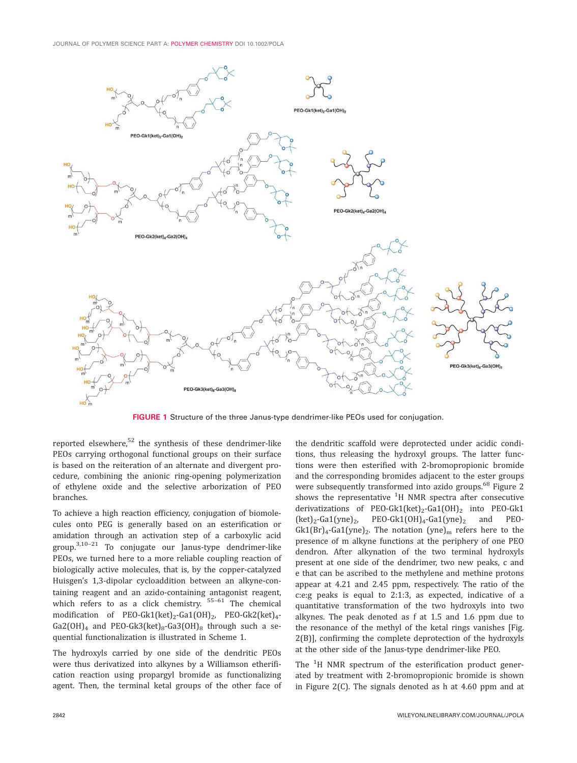

FIGURE 1 Structure of the three Janus-type dendrimer-like PEOs used for conjugation.

reported elsewhere,<sup>52</sup> the synthesis of these dendrimer-like PEOs carrying orthogonal functional groups on their surface is based on the reiteration of an alternate and divergent procedure, combining the anionic ring-opening polymerization of ethylene oxide and the selective arborization of PEO branches.

To achieve a high reaction efficiency, conjugation of biomolecules onto PEG is generally based on an esterification or amidation through an activation step of a carboxylic acid group. $3,10-21$  To conjugate our Janus-type dendrimer-like PEOs, we turned here to a more reliable coupling reaction of biologically active molecules, that is, by the copper-catalyzed Huisgen's 1,3-dipolar cycloaddition between an alkyne-containing reagent and an azido-containing antagonist reagent, which refers to as a click chemistry.<sup>55-61</sup> The chemical modification of PEO-Gk1(ket)<sub>2</sub>-Ga1(OH)<sub>2</sub>, PEO-Gk2(ket)<sub>4</sub>- $Ga2(OH)_4$  and PEO-Gk3(ket)<sub>8</sub>-Ga3(OH)<sub>8</sub> through such a sequential functionalization is illustrated in Scheme 1.

The hydroxyls carried by one side of the dendritic PEOs were thus derivatized into alkynes by a Williamson etherification reaction using propargyl bromide as functionalizing agent. Then, the terminal ketal groups of the other face of

the dendritic scaffold were deprotected under acidic conditions, thus releasing the hydroxyl groups. The latter functions were then esterified with 2-bromopropionic bromide and the corresponding bromides adjacent to the ester groups were subsequently transformed into azido groups.<sup>68</sup> Figure 2 shows the representative  $^1\mathrm{H}$  NMR spectra after consecutive derivatizations of PEO-Gk1(ket)<sub>2</sub>-Ga1(OH)<sub>2</sub> into PEO-Gk1  $(ket)<sub>2</sub>$ -Ga1(yne)<sub>2</sub>, PEO-Gk1(OH)<sub>4</sub>-Ga1(yne)<sub>2</sub> and PEO- $Gk1(Br)<sub>4</sub>$ -Ga1(yne)<sub>2</sub>. The notation (yne)<sub>m</sub> refers here to the presence of m alkyne functions at the periphery of one PEO dendron. After alkynation of the two terminal hydroxyls present at one side of the dendrimer, two new peaks, c and e that can be ascribed to the methylene and methine protons appear at 4.21 and 2.45 ppm, respectively. The ratio of the c:e:g peaks is equal to 2:1:3, as expected, indicative of a quantitative transformation of the two hydroxyls into two alkynes. The peak denoted as f at 1.5 and 1.6 ppm due to the resonance of the methyl of the ketal rings vanishes [Fig. 2(B)], confirming the complete deprotection of the hydroxyls at the other side of the Janus-type dendrimer-like PEO.

The  ${}^{1}$ H NMR spectrum of the esterification product generated by treatment with 2-bromopropionic bromide is shown in Figure 2(C). The signals denoted as h at 4.60 ppm and at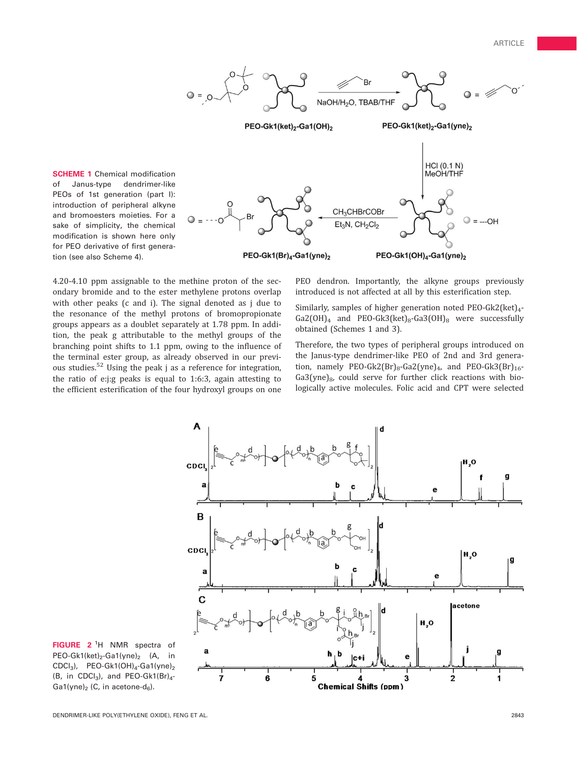

SCHEME 1 Chemical modification of Janus-type dendrimer-like PEOs of 1st generation (part I): introduction of peripheral alkyne and bromoesters moieties. For a sake of simplicity, the chemical modification is shown here only for PEO derivative of first generation (see also Scheme 4).

4.20-4.10 ppm assignable to the methine proton of the secondary bromide and to the ester methylene protons overlap with other peaks (c and i). The signal denoted as j due to the resonance of the methyl protons of bromopropionate groups appears as a doublet separately at 1.78 ppm. In addition, the peak g attributable to the methyl groups of the branching point shifts to 1.1 ppm, owing to the influence of the terminal ester group, as already observed in our previous studies.<sup>52</sup> Using the peak j as a reference for integration, the ratio of e:j:g peaks is equal to 1:6:3, again attesting to the efficient esterification of the four hydroxyl groups on one PEO dendron. Importantly, the alkyne groups previously introduced is not affected at all by this esterification step.

Similarly, samples of higher generation noted PEO-Gk2(ket)<sub>4</sub>- $Ga2(OH)_4$  and PEO-Gk3(ket)<sub>8</sub>-Ga3(OH)<sub>8</sub> were successfully obtained (Schemes 1 and 3).

Therefore, the two types of peripheral groups introduced on the Janus-type dendrimer-like PEO of 2nd and 3rd generation, namely PEO-Gk2(Br)<sub>8</sub>-Ga2(yne)<sub>4</sub>, and PEO-Gk3(Br)<sub>16</sub>- $Ga3(yne)_{8}$ , could serve for further click reactions with biologically active molecules. Folic acid and CPT were selected



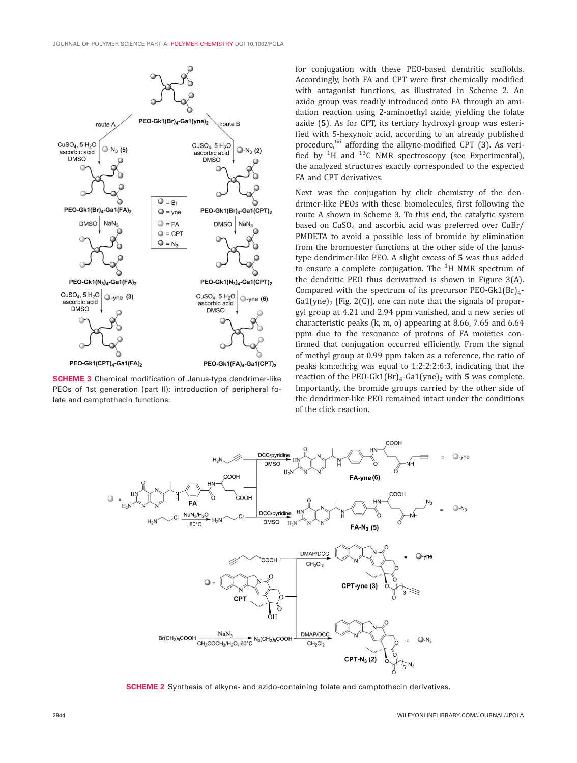

**SCHEME 3** Chemical modification of Janus-type dendrimer-like PEOs of 1st generation (part II): introduction of peripheral folate and camptothecin functions.

for conjugation with these PEO-based dendritic scaffolds. Accordingly, both FA and CPT were first chemically modified with antagonist functions, as illustrated in Scheme 2. An azido group was readily introduced onto FA through an amidation reaction using 2-aminoethyl azide, yielding the folate azide (5). As for CPT, its tertiary hydroxyl group was esterified with 5-hexynoic acid, according to an already published procedure,<sup>66</sup> affording the alkyne-modified CPT  $(3)$ . As verified by  $^{1}$ H and  $^{13}$ C NMR spectroscopy (see Experimental), the analyzed structures exactly corresponded to the expected FA and CPT derivatives.

Next was the conjugation by click chemistry of the dendrimer-like PEOs with these biomolecules, first following the route A shown in Scheme 3. To this end, the catalytic system based on  $CuSO<sub>4</sub>$  and ascorbic acid was preferred over  $CuBr/$ PMDETA to avoid a possible loss of bromide by elimination from the bromoester functions at the other side of the Janustype dendrimer-like PEO. A slight excess of 5 was thus added to ensure a complete conjugation. The  $^1\mathrm{H}$  NMR spectrum of the dendritic PEO thus derivatized is shown in Figure 3(A). Compared with the spectrum of its precursor PEO-Gk1(Br)<sub>4</sub>- $Ga1(yne)_2$  [Fig. 2(C)], one can note that the signals of propargyl group at 4.21 and 2.94 ppm vanished, and a new series of characteristic peaks (k, m, o) appearing at 8.66, 7.65 and 6.64 ppm due to the resonance of protons of FA moieties confirmed that conjugation occurred efficiently. From the signal of methyl group at 0.99 ppm taken as a reference, the ratio of peaks k:m:o:h:j:g was equal to 1:2:2:2:6:3, indicating that the reaction of the PEO-Gk1(Br)<sub>4</sub>-Ga1(yne)<sub>2</sub> with 5 was complete. Importantly, the bromide groups carried by the other side of the dendrimer-like PEO remained intact under the conditions of the click reaction.



SCHEME 2 Synthesis of alkyne- and azido-containing folate and camptothecin derivatives.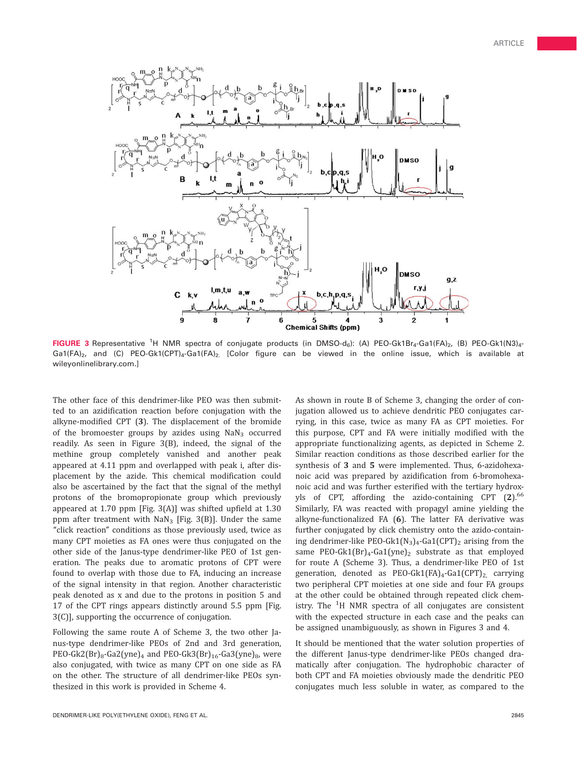

FIGURE 3 Representative <sup>1</sup>H NMR spectra of conjugate products (in DMSO-d<sub>6</sub>): (A) PEO-Gk1Br<sub>4</sub>-Ga1(FA)<sub>2</sub>, (B) PEO-Gk1(N3)<sub>4</sub>-Ga1(FA)<sub>2</sub>, and (C) PEO-Gk1(CPT)<sub>4</sub>-Ga1(FA)<sub>2</sub>. [Color figure can be viewed in the online issue, which is available at wileyonlinelibrary.com.]

The other face of this dendrimer-like PEO was then submitted to an azidification reaction before conjugation with the alkyne-modified CPT (3). The displacement of the bromide of the bromoester groups by azides using  $NaN<sub>3</sub>$  occurred readily. As seen in Figure 3(B), indeed, the signal of the methine group completely vanished and another peak appeared at 4.11 ppm and overlapped with peak i, after displacement by the azide. This chemical modification could also be ascertained by the fact that the signal of the methyl protons of the bromopropionate group which previously appeared at 1.70 ppm [Fig. 3(A)] was shifted upfield at 1.30 ppm after treatment with  $NaN<sub>3</sub>$  [Fig. 3(B)]. Under the same "click reaction" conditions as those previously used, twice as many CPT moieties as FA ones were thus conjugated on the other side of the Janus-type dendrimer-like PEO of 1st generation. The peaks due to aromatic protons of CPT were found to overlap with those due to FA, inducing an increase of the signal intensity in that region. Another characteristic peak denoted as x and due to the protons in position 5 and 17 of the CPT rings appears distinctly around 5.5 ppm [Fig. 3(C)], supporting the occurrence of conjugation.

Following the same route A of Scheme 3, the two other Janus-type dendrimer-like PEOs of 2nd and 3rd generation, PEO-Gk2(Br)<sub>8</sub>-Ga2(yne)<sub>4</sub> and PEO-Gk3(Br)<sub>16</sub>-Ga3(yne)<sub>8</sub>, were also conjugated, with twice as many CPT on one side as FA on the other. The structure of all dendrimer-like PEOs synthesized in this work is provided in Scheme 4.

As shown in route B of Scheme 3, changing the order of conjugation allowed us to achieve dendritic PEO conjugates carrying, in this case, twice as many FA as CPT moieties. For this purpose, CPT and FA were initially modified with the appropriate functionalizing agents, as depicted in Scheme 2. Similar reaction conditions as those described earlier for the synthesis of 3 and 5 were implemented. Thus, 6-azidohexanoic acid was prepared by azidification from 6-bromohexanoic acid and was further esterified with the tertiary hydroxyls of CPT, affording the azido-containing CPT  $(2)$ .<sup>66</sup> Similarly, FA was reacted with propagyl amine yielding the alkyne-functionalized FA (6). The latter FA derivative was further conjugated by click chemistry onto the azido-containing dendrimer-like PEO-Gk1( $N_3$ )<sub>4</sub>-Ga1(CPT)<sub>2</sub> arising from the same PEO-Gk1(Br)<sub>4</sub>-Ga1(yne)<sub>2</sub> substrate as that employed for route A (Scheme 3). Thus, a dendrimer-like PEO of 1st generation, denoted as PEO-Gk1(FA)<sub>4</sub>-Ga1(CPT)<sub>2</sub> carrying two peripheral CPT moieties at one side and four FA groups at the other could be obtained through repeated click chemistry. The  $^{1}$ H NMR spectra of all conjugates are consistent with the expected structure in each case and the peaks can be assigned unambiguously, as shown in Figures 3 and 4.

It should be mentioned that the water solution properties of the different Janus-type dendrimer-like PEOs changed dramatically after conjugation. The hydrophobic character of both CPT and FA moieties obviously made the dendritic PEO conjugates much less soluble in water, as compared to the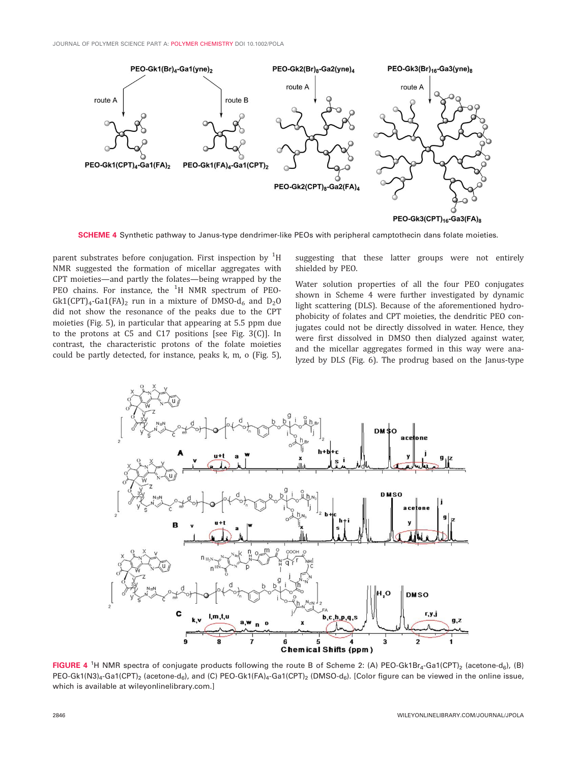

SCHEME 4 Synthetic pathway to Janus-type dendrimer-like PEOs with peripheral camptothecin dans folate moieties.

parent substrates before conjugation. First inspection by  $^{\rm 1H}$ NMR suggested the formation of micellar aggregates with CPT moieties—and partly the folates—being wrapped by the PEO chains. For instance, the <sup>1</sup>H NMR spectrum of PEO- $Gk1(CPT)<sub>4</sub>-Ga1(FA)<sub>2</sub>$  run in a mixture of DMSO- $d<sub>6</sub>$  and D<sub>2</sub>O did not show the resonance of the peaks due to the CPT moieties (Fig. 5), in particular that appearing at 5.5 ppm due to the protons at C5 and C17 positions [see Fig. 3(C)]. In contrast, the characteristic protons of the folate moieties could be partly detected, for instance, peaks k, m, o (Fig. 5),

suggesting that these latter groups were not entirely shielded by PEO.

Water solution properties of all the four PEO conjugates shown in Scheme 4 were further investigated by dynamic light scattering (DLS). Because of the aforementioned hydrophobicity of folates and CPT moieties, the dendritic PEO conjugates could not be directly dissolved in water. Hence, they were first dissolved in DMSO then dialyzed against water, and the micellar aggregates formed in this way were analyzed by DLS (Fig. 6). The prodrug based on the Janus-type



FIGURE 4<sup>1</sup>H NMR spectra of conjugate products following the route B of Scheme 2: (A) PEO-Gk1Br<sub>4</sub>-Ga1(CPT)<sub>2</sub> (acetone-d<sub>6</sub>), (B) PEO-Gk1(N3)<sub>4</sub>-Ga1(CPT)<sub>2</sub> (acetone-d<sub>6</sub>), and (C) PEO-Gk1(FA)<sub>4</sub>-Ga1(CPT)<sub>2</sub> (DMSO-d<sub>6</sub>). [Color figure can be viewed in the online issue, which is available at wileyonlinelibrary.com.]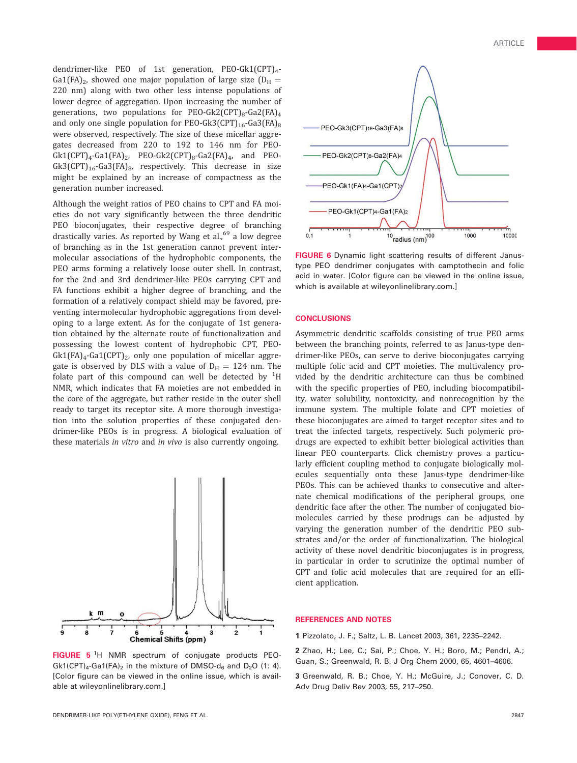dendrimer-like PEO of 1st generation, PEO-Gk1(CPT)<sub>4</sub>-Ga1(FA)<sub>2</sub>, showed one major population of large size ( $D_H$  = 220 nm) along with two other less intense populations of lower degree of aggregation. Upon increasing the number of generations, two populations for PEO-Gk2(CPT)<sub>8</sub>-Ga2(FA)<sub>4</sub> and only one single population for PEO-Gk3(CPT)<sub>16</sub>-Ga3(FA)<sub>8</sub> were observed, respectively. The size of these micellar aggregates decreased from 220 to 192 to 146 nm for PEO- $Gk1(CPT)<sub>4</sub>-Ga1(FA)<sub>2</sub>$ , PEO-Gk2(CPT)<sub>8</sub>-Ga2(FA)<sub>4</sub>, and PEO- $Gk3(CPT)_{16}$ -Ga3(FA)<sub>8</sub>, respectively. This decrease in size might be explained by an increase of compactness as the generation number increased.

Although the weight ratios of PEO chains to CPT and FA moieties do not vary significantly between the three dendritic PEO bioconjugates, their respective degree of branching drastically varies. As reported by Wang et al.,<sup>69</sup> a low degree of branching as in the 1st generation cannot prevent intermolecular associations of the hydrophobic components, the PEO arms forming a relatively loose outer shell. In contrast, for the 2nd and 3rd dendrimer-like PEOs carrying CPT and FA functions exhibit a higher degree of branching, and the formation of a relatively compact shield may be favored, preventing intermolecular hydrophobic aggregations from developing to a large extent. As for the conjugate of 1st generation obtained by the alternate route of functionalization and possessing the lowest content of hydrophobic CPT, PEO- $Gk1(FA)<sub>4</sub>-Ga1(CPT)<sub>2</sub>$ , only one population of micellar aggregate is observed by DLS with a value of  $D_H = 124$  nm. The folate part of this compound can well be detected by  ${}^{1}H$ NMR, which indicates that FA moieties are not embedded in the core of the aggregate, but rather reside in the outer shell ready to target its receptor site. A more thorough investigation into the solution properties of these conjugated dendrimer-like PEOs is in progress. A biological evaluation of these materials in vitro and in vivo is also currently ongoing.



FIGURE 5<sup>1</sup>H NMR spectrum of conjugate products PEO- $Gk1(CPT)_{4}$ -Ga1(FA)<sub>2</sub> in the mixture of DMSO-d<sub>6</sub> and D<sub>2</sub>O (1: 4). [Color figure can be viewed in the online issue, which is available at wileyonlinelibrary.com.]



FIGURE 6 Dynamic light scattering results of different Janustype PEO dendrimer conjugates with camptothecin and folic acid in water. [Color figure can be viewed in the online issue, which is available at wileyonlinelibrary.com.]

#### **CONCLUSIONS**

Asymmetric dendritic scaffolds consisting of true PEO arms between the branching points, referred to as Janus-type dendrimer-like PEOs, can serve to derive bioconjugates carrying multiple folic acid and CPT moieties. The multivalency provided by the dendritic architecture can thus be combined with the specific properties of PEO, including biocompatibility, water solubility, nontoxicity, and nonrecognition by the immune system. The multiple folate and CPT moieties of these bioconjugates are aimed to target receptor sites and to treat the infected targets, respectively. Such polymeric prodrugs are expected to exhibit better biological activities than linear PEO counterparts. Click chemistry proves a particularly efficient coupling method to conjugate biologically molecules sequentially onto these Janus-type dendrimer-like PEOs. This can be achieved thanks to consecutive and alternate chemical modifications of the peripheral groups, one dendritic face after the other. The number of conjugated biomolecules carried by these prodrugs can be adjusted by varying the generation number of the dendritic PEO substrates and/or the order of functionalization. The biological activity of these novel dendritic bioconjugates is in progress, in particular in order to scrutinize the optimal number of CPT and folic acid molecules that are required for an efficient application.

#### REFERENCES AND NOTES

1 Pizzolato, J. F.; Saltz, L. B. Lancet 2003, 361, 2235–2242.

2 Zhao, H.; Lee, C.; Sai, P.; Choe, Y. H.; Boro, M.; Pendri, A.; Guan, S.; Greenwald, R. B. J Org Chem 2000, 65, 4601–4606.

3 Greenwald, R. B.; Choe, Y. H.; McGuire, J.; Conover, C. D. Adv Drug Deliv Rev 2003, 55, 217–250.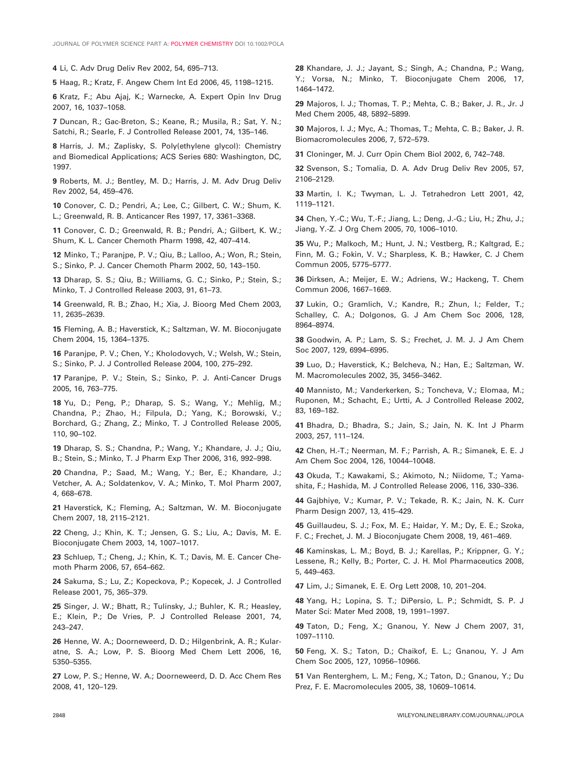4 Li, C. Adv Drug Deliv Rev 2002, 54, 695–713.

5 Haag, R.; Kratz, F. Angew Chem Int Ed 2006, 45, 1198–1215.

6 Kratz, F.; Abu Ajaj, K.; Warnecke, A. Expert Opin Inv Drug 2007, 16, 1037–1058.

7 Duncan, R.; Gac-Breton, S.; Keane, R.; Musila, R.; Sat, Y. N.; Satchi, R.; Searle, F. J Controlled Release 2001, 74, 135–146.

8 Harris, J. M.; Zaplisky, S. Poly(ethylene glycol): Chemistry and Biomedical Applications; ACS Series 680: Washington, DC, 1997.

9 Roberts, M. J.; Bentley, M. D.; Harris, J. M. Adv Drug Deliv Rev 2002, 54, 459–476.

10 Conover, C. D.; Pendri, A.; Lee, C.; Gilbert, C. W.; Shum, K. L.; Greenwald, R. B. Anticancer Res 1997, 17, 3361–3368.

11 Conover, C. D.; Greenwald, R. B.; Pendri, A.; Gilbert, K. W.; Shum, K. L. Cancer Chemoth Pharm 1998, 42, 407–414.

12 Minko, T.; Paranjpe, P. V.; Qiu, B.; Lalloo, A.; Won, R.; Stein, S.; Sinko, P. J. Cancer Chemoth Pharm 2002, 50, 143–150.

13 Dharap, S. S.; Qiu, B.; Williams, G. C.; Sinko, P.; Stein, S.; Minko, T. J Controlled Release 2003, 91, 61–73.

14 Greenwald, R. B.; Zhao, H.; Xia, J. Bioorg Med Chem 2003, 11, 2635–2639.

15 Fleming, A. B.; Haverstick, K.; Saltzman, W. M. Bioconjugate Chem 2004, 15, 1364–1375.

16 Paranjpe, P. V.; Chen, Y.; Kholodovych, V.; Welsh, W.; Stein, S.; Sinko, P. J. J Controlled Release 2004, 100, 275–292.

17 Paranjpe, P. V.; Stein, S.; Sinko, P. J. Anti-Cancer Drugs 2005, 16, 763–775.

18 Yu, D.; Peng, P.; Dharap, S. S.; Wang, Y.; Mehlig, M.; Chandna, P.; Zhao, H.; Filpula, D.; Yang, K.; Borowski, V.; Borchard, G.; Zhang, Z.; Minko, T. J Controlled Release 2005, 110, 90–102.

19 Dharap, S. S.; Chandna, P.; Wang, Y.; Khandare, J. J.; Qiu, B.; Stein, S.; Minko, T. J Pharm Exp Ther 2006, 316, 992–998.

20 Chandna, P.; Saad, M.; Wang, Y.; Ber, E.; Khandare, J.; Vetcher, A. A.; Soldatenkov, V. A.; Minko, T. Mol Pharm 2007, 4, 668–678.

21 Haverstick, K.; Fleming, A.; Saltzman, W. M. Bioconjugate Chem 2007, 18, 2115–2121.

22 Cheng, J.; Khin, K. T.; Jensen, G. S.; Liu, A.; Davis, M. E. Bioconjugate Chem 2003, 14, 1007–1017.

23 Schluep, T.; Cheng, J.; Khin, K. T.; Davis, M. E. Cancer Chemoth Pharm 2006, 57, 654–662.

24 Sakuma, S.; Lu, Z.; Kopeckova, P.; Kopecek, J. J Controlled Release 2001, 75, 365–379.

25 Singer, J. W.; Bhatt, R.; Tulinsky, J.; Buhler, K. R.; Heasley, E.; Klein, P.; De Vries, P. J Controlled Release 2001, 74, 243–247.

26 Henne, W. A.; Doorneweerd, D. D.; Hilgenbrink, A. R.; Kularatne, S. A.; Low, P. S. Bioorg Med Chem Lett 2006, 16, 5350–5355.

27 Low, P. S.; Henne, W. A.; Doorneweerd, D. D. Acc Chem Res 2008, 41, 120–129.

28 Khandare, J. J.; Jayant, S.; Singh, A.; Chandna, P.; Wang, Y.; Vorsa, N.; Minko, T. Bioconjugate Chem 2006, 17, 1464–1472.

29 Majoros, I. J.; Thomas, T. P.; Mehta, C. B.; Baker, J. R., Jr. J Med Chem 2005, 48, 5892–5899.

30 Majoros, I. J.; Myc, A.; Thomas, T.; Mehta, C. B.; Baker, J. R. Biomacromolecules 2006, 7, 572–579.

31 Cloninger, M. J. Curr Opin Chem Biol 2002, 6, 742–748.

32 Svenson, S.; Tomalia, D. A. Adv Drug Deliv Rev 2005, 57, 2106–2129.

33 Martin, I. K.; Twyman, L. J. Tetrahedron Lett 2001, 42, 1119–1121.

34 Chen, Y.-C.; Wu, T.-F.; Jiang, L.; Deng, J.-G.; Liu, H.; Zhu, J.; Jiang, Y.-Z. J Org Chem 2005, 70, 1006–1010.

35 Wu, P.; Malkoch, M.; Hunt, J. N.; Vestberg, R.; Kaltgrad, E.; Finn, M. G.; Fokin, V. V.; Sharpless, K. B.; Hawker, C. J Chem Commun 2005, 5775–5777.

36 Dirksen, A.; Meijer, E. W.; Adriens, W.; Hackeng, T. Chem Commun 2006, 1667–1669.

37 Lukin, O.; Gramlich, V.; Kandre, R.; Zhun, I.; Felder, T.; Schalley, C. A.; Dolgonos, G. J Am Chem Soc 2006, 128, 8964–8974.

38 Goodwin, A. P.; Lam, S. S.; Frechet, J. M. J. J Am Chem Soc 2007, 129, 6994–6995.

39 Luo, D.; Haverstick, K.; Belcheva, N.; Han, E.; Saltzman, W. M. Macromolecules 2002, 35, 3456–3462.

40 Mannisto, M.; Vanderkerken, S.; Toncheva, V.; Elomaa, M.; Ruponen, M.; Schacht, E.; Urtti, A. J Controlled Release 2002, 83, 169–182.

41 Bhadra, D.; Bhadra, S.; Jain, S.; Jain, N. K. Int J Pharm 2003, 257, 111–124.

42 Chen, H.-T.; Neerman, M. F.; Parrish, A. R.; Simanek, E. E. J Am Chem Soc 2004, 126, 10044–10048.

43 Okuda, T.; Kawakami, S.; Akimoto, N.; Niidome, T.; Yamashita, F.; Hashida, M. J Controlled Release 2006, 116, 330–336.

44 Gajbhiye, V.; Kumar, P. V.; Tekade, R. K.; Jain, N. K. Curr Pharm Design 2007, 13, 415–429.

45 Guillaudeu, S. J.; Fox, M. E.; Haidar, Y. M.; Dy, E. E.; Szoka, F. C.; Frechet, J. M. J Bioconjugate Chem 2008, 19, 461–469.

46 Kaminskas, L. M.; Boyd, B. J.; Karellas, P.; Krippner, G. Y.; Lessene, R.; Kelly, B.; Porter, C. J. H. Mol Pharmaceutics 2008, 5, 449–463.

47 Lim, J.; Simanek, E. E. Org Lett 2008, 10, 201–204.

48 Yang, H.; Lopina, S. T.; DiPersio, L. P.; Schmidt, S. P. J Mater Sci: Mater Med 2008, 19, 1991–1997.

49 Taton, D.; Feng, X.; Gnanou, Y. New J Chem 2007, 31, 1097–1110.

50 Feng, X. S.; Taton, D.; Chaikof, E. L.; Gnanou, Y. J Am Chem Soc 2005, 127, 10956–10966.

51 Van Renterghem, L. M.; Feng, X.; Taton, D.; Gnanou, Y.; Du Prez, F. E. Macromolecules 2005, 38, 10609–10614.